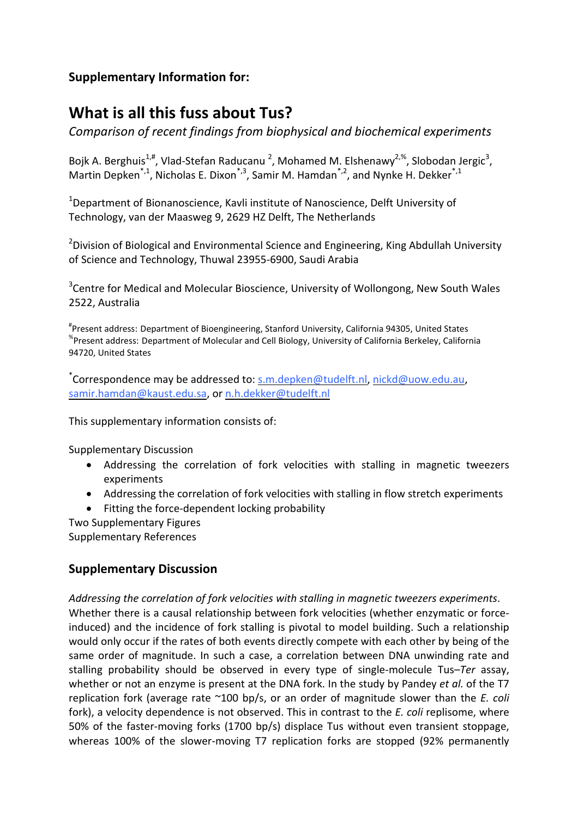## **Supplementary Information for:**

# **What is all this fuss about Tus?**

*Comparison of recent findings from biophysical and biochemical experiments*

Bojk A. Berghuis<sup>1,#</sup>, Vlad-Stefan Raducanu<sup>2</sup>, Mohamed M. Elshenawy<sup>2,%</sup>, Slobodan Jergic<sup>3</sup>, Martin Depken<sup>\*,1</sup>, Nicholas E. Dixon<sup>\*,3</sup>, Samir M. Hamdan<sup>\*,2</sup>, and Nynke H. Dekker<sup>\*,1</sup>

<sup>1</sup>Department of Bionanoscience, Kavli institute of Nanoscience, Delft University of Technology, van der Maasweg 9, 2629 HZ Delft, The Netherlands

<sup>2</sup>Division of Biological and Environmental Science and Engineering, King Abdullah University of Science and Technology, Thuwal 23955-6900, Saudi Arabia

<sup>3</sup>Centre for Medical and Molecular Bioscience, University of Wollongong, New South Wales 2522, Australia

# Present address: Department of Bioengineering, Stanford University, California 94305, United States % Present address: Department of Molecular and Cell Biology, University of California Berkeley, California 94720, United States

\*Correspondence may be addressed to: <u>s.m.depken@tudelft.nl</u>, [nickd@uow.edu.au,](mailto:nickd@uow.edu.au) [samir.hamdan@kaust.edu.sa,](mailto:samir.hamdan@kaust.edu.sa) or [n.h.dekker@tudelft.nl](mailto:n.h.dekker@tudelft.nl)

This supplementary information consists of:

Supplementary Discussion

- Addressing the correlation of fork velocities with stalling in magnetic tweezers experiments
- Addressing the correlation of fork velocities with stalling in flow stretch experiments
- Fitting the force-dependent locking probability

Two Supplementary Figures Supplementary References

## **Supplementary Discussion**

*Addressing the correlation of fork velocities with stalling in magnetic tweezers experiments*. Whether there is a causal relationship between fork velocities (whether enzymatic or forceinduced) and the incidence of fork stalling is pivotal to model building. Such a relationship would only occur if the rates of both events directly compete with each other by being of the same order of magnitude. In such a case, a correlation between DNA unwinding rate and stalling probability should be observed in every type of single-molecule Tus–*Ter* assay, whether or not an enzyme is present at the DNA fork. In the study by Pandey *et al.* of the T7 replication fork (average rate ~100 bp/s, or an order of magnitude slower than the *E. coli* fork), a velocity dependence is not observed. This in contrast to the *E. coli* replisome, where 50% of the faster-moving forks (1700 bp/s) displace Tus without even transient stoppage, whereas 100% of the slower-moving T7 replication forks are stopped (92% permanently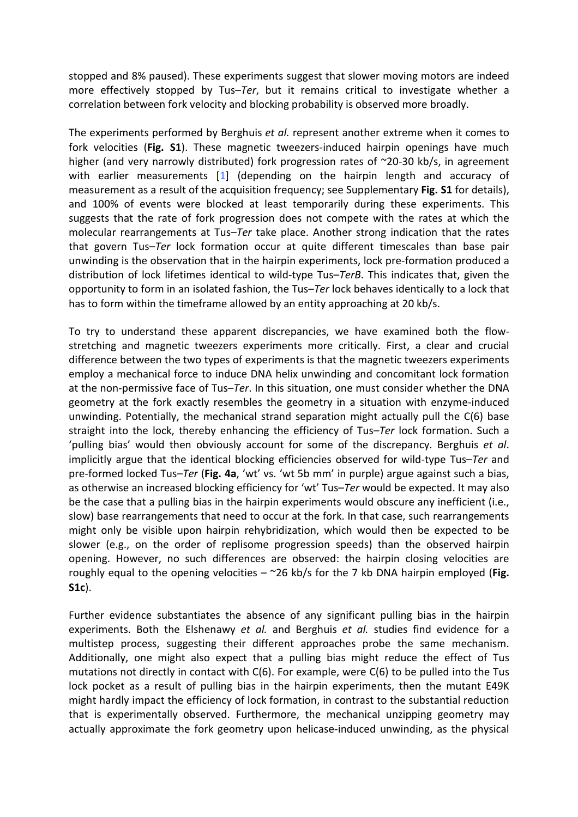stopped and 8% paused). These experiments suggest that slower moving motors are indeed more effectively stopped by Tus–*Ter*, but it remains critical to investigate whether a correlation between fork velocity and blocking probability is observed more broadly.

The experiments performed by Berghuis *et al.* represent another extreme when it comes to fork velocities (**Fig. S1**). These magnetic tweezers-induced hairpin openings have much higher (and very narrowly distributed) fork progression rates of ~20-30 kb/s, in agreement with earlier measurements [\[1\]](#page-7-0) (depending on the hairpin length and accuracy of measurement as a result of the acquisition frequency; see Supplementary **Fig. S1** for details), and 100% of events were blocked at least temporarily during these experiments. This suggests that the rate of fork progression does not compete with the rates at which the molecular rearrangements at Tus–*Ter* take place. Another strong indication that the rates that govern Tus–*Ter* lock formation occur at quite different timescales than base pair unwinding is the observation that in the hairpin experiments, lock pre-formation produced a distribution of lock lifetimes identical to wild-type Tus–*TerB*. This indicates that, given the opportunity to form in an isolated fashion, the Tus–*Ter* lock behaves identically to a lock that has to form within the timeframe allowed by an entity approaching at 20 kb/s.

To try to understand these apparent discrepancies, we have examined both the flowstretching and magnetic tweezers experiments more critically. First, a clear and crucial difference between the two types of experiments is that the magnetic tweezers experiments employ a mechanical force to induce DNA helix unwinding and concomitant lock formation at the non-permissive face of Tus–*Ter*. In this situation, one must consider whether the DNA geometry at the fork exactly resembles the geometry in a situation with enzyme-induced unwinding. Potentially, the mechanical strand separation might actually pull the C(6) base straight into the lock, thereby enhancing the efficiency of Tus–*Ter* lock formation. Such a 'pulling bias' would then obviously account for some of the discrepancy. Berghuis *et al*. implicitly argue that the identical blocking efficiencies observed for wild-type Tus–*Ter* and pre-formed locked Tus–*Ter* (**Fig. 4a**, 'wt' vs. 'wt 5b mm' in purple) argue against such a bias, as otherwise an increased blocking efficiency for 'wt' Tus–*Ter* would be expected. It may also be the case that a pulling bias in the hairpin experiments would obscure any inefficient (i.e., slow) base rearrangements that need to occur at the fork. In that case, such rearrangements might only be visible upon hairpin rehybridization, which would then be expected to be slower (e.g., on the order of replisome progression speeds) than the observed hairpin opening. However, no such differences are observed: the hairpin closing velocities are roughly equal to the opening velocities – ~26 kb/s for the 7 kb DNA hairpin employed (**Fig. S1c**).

Further evidence substantiates the absence of any significant pulling bias in the hairpin experiments. Both the Elshenawy *et al.* and Berghuis *et al.* studies find evidence for a multistep process, suggesting their different approaches probe the same mechanism. Additionally, one might also expect that a pulling bias might reduce the effect of Tus mutations not directly in contact with C(6). For example, were C(6) to be pulled into the Tus lock pocket as a result of pulling bias in the hairpin experiments, then the mutant E49K might hardly impact the efficiency of lock formation, in contrast to the substantial reduction that is experimentally observed. Furthermore, the mechanical unzipping geometry may actually approximate the fork geometry upon helicase-induced unwinding, as the physical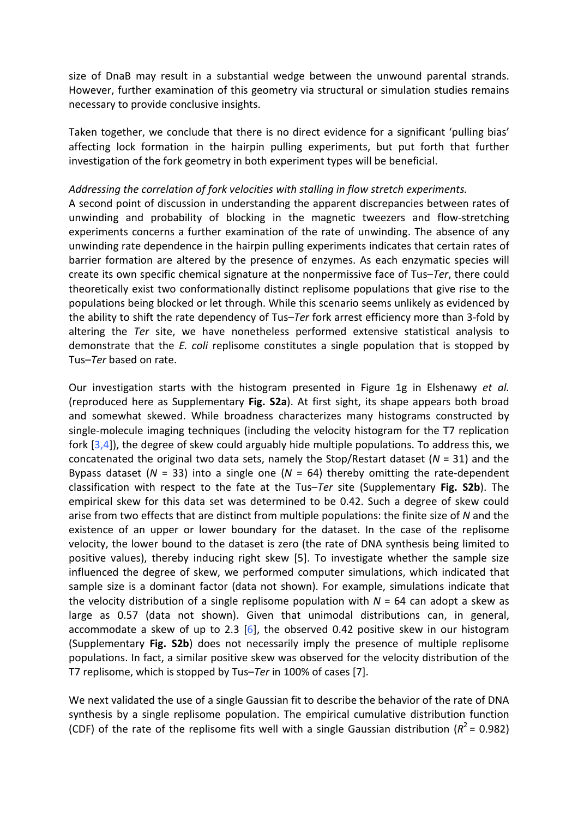size of DnaB may result in a substantial wedge between the unwound parental strands. However, further examination of this geometry via structural or simulation studies remains necessary to provide conclusive insights.

Taken together, we conclude that there is no direct evidence for a significant 'pulling bias' affecting lock formation in the hairpin pulling experiments, but put forth that further investigation of the fork geometry in both experiment types will be beneficial.

### *Addressing the correlation of fork velocities with stalling in flow stretch experiments.*

A second point of discussion in understanding the apparent discrepancies between rates of unwinding and probability of blocking in the magnetic tweezers and flow-stretching experiments concerns a further examination of the rate of unwinding. The absence of any unwinding rate dependence in the hairpin pulling experiments indicates that certain rates of barrier formation are altered by the presence of enzymes. As each enzymatic species will create its own specific chemical signature at the nonpermissive face of Tus–*Ter*, there could theoretically exist two conformationally distinct replisome populations that give rise to the populations being blocked or let through. While this scenario seems unlikely as evidenced by the ability to shift the rate dependency of Tus–*Ter* fork arrest efficiency more than 3-fold by altering the *Ter* site, we have nonetheless performed extensive statistical analysis to demonstrate that the *E. coli* replisome constitutes a single population that is stopped by Tus–*Ter* based on rate.

Our investigation starts with the histogram presented in Figure 1g in Elshenawy *et al.* (reproduced here as Supplementary **Fig. S2a**). At first sight, its shape appears both broad and somewhat skewed. While broadness characterizes many histograms constructed by single-molecule imaging techniques (including the velocity histogram for the T7 replication fork  $[3,4]$  $[3,4]$ ), the degree of skew could arguably hide multiple populations. To address this, we concatenated the original two data sets, namely the Stop/Restart dataset (*N* = 31) and the Bypass dataset ( $N = 33$ ) into a single one ( $N = 64$ ) thereby omitting the rate-dependent classification with respect to the fate at the Tus–*Ter* site (Supplementary **Fig. S2b**). The empirical skew for this data set was determined to be 0.42. Such a degree of skew could arise from two effects that are distinct from multiple populations: the finite size of *N* and the existence of an upper or lower boundary for the dataset. In the case of the replisome velocity, the lower bound to the dataset is zero (the rate of DNA synthesis being limited to positive values), thereby inducing right skew [\[5\]](#page-7-3). To investigate whether the sample size influenced the degree of skew, we performed computer simulations, which indicated that sample size is a dominant factor (data not shown). For example, simulations indicate that the velocity distribution of a single replisome population with *N* = 64 can adopt a skew as large as 0.57 (data not shown). Given that unimodal distributions can, in general, accommodate a skew of up to 2.3 [\[6\]](#page-7-4), the observed 0.42 positive skew in our histogram (Supplementary **Fig. S2b**) does not necessarily imply the presence of multiple replisome populations. In fact, a similar positive skew was observed for the velocity distribution of the T7 replisome, which is stopped by Tus–*Ter* in 100% of cases [\[7\]](#page-7-5).

We next validated the use of a single Gaussian fit to describe the behavior of the rate of DNA synthesis by a single replisome population. The empirical cumulative distribution function (CDF) of the rate of the replisome fits well with a single Gaussian distribution  $(R^2 = 0.982)$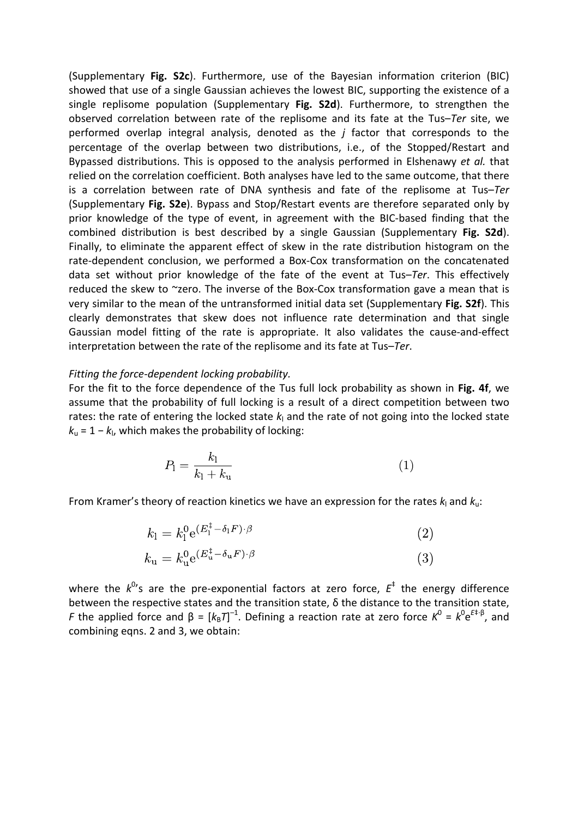(Supplementary **Fig. S2c**). Furthermore, use of the Bayesian information criterion (BIC) showed that use of a single Gaussian achieves the lowest BIC, supporting the existence of a single replisome population (Supplementary **Fig. S2d**). Furthermore, to strengthen the observed correlation between rate of the replisome and its fate at the Tus–*Ter* site, we performed overlap integral analysis, denoted as the *j* factor that corresponds to the percentage of the overlap between two distributions, i.e., of the Stopped/Restart and Bypassed distributions. This is opposed to the analysis performed in Elshenawy *et al.* that relied on the correlation coefficient. Both analyses have led to the same outcome, that there is a correlation between rate of DNA synthesis and fate of the replisome at Tus–*Ter* (Supplementary **Fig. S2e**). Bypass and Stop/Restart events are therefore separated only by prior knowledge of the type of event, in agreement with the BIC-based finding that the combined distribution is best described by a single Gaussian (Supplementary **Fig. S2d**). Finally, to eliminate the apparent effect of skew in the rate distribution histogram on the rate-dependent conclusion, we performed a Box-Cox transformation on the concatenated data set without prior knowledge of the fate of the event at Tus–*Ter*. This effectively reduced the skew to ~zero. The inverse of the Box-Cox transformation gave a mean that is very similar to the mean of the untransformed initial data set (Supplementary **Fig. S2f**). This clearly demonstrates that skew does not influence rate determination and that single Gaussian model fitting of the rate is appropriate. It also validates the cause-and-effect interpretation between the rate of the replisome and its fate at Tus–*Ter*.

#### *Fitting the force-dependent locking probability.*

For the fit to the force dependence of the Tus full lock probability as shown in **Fig. 4f**, we assume that the probability of full locking is a result of a direct competition between two rates: the rate of entering the locked state  $k<sub>l</sub>$  and the rate of not going into the locked state *k*<sup>u</sup> = 1 − *k*<sup>l</sup> , which makes the probability of locking:

$$
P_1 = \frac{k_1}{k_1 + k_\text{u}}\tag{1}
$$

From Kramer's theory of reaction kinetics we have an expression for the rates  $k_1$  and  $k_0$ :

$$
k_1 = k_1^0 e^{(E_1^{\ddagger} - \delta_1 F) \cdot \beta}
$$
\n
$$
k_{\rm u} = k_{\rm u}^0 e^{(E_{\rm u}^{\ddagger} - \delta_{\rm u} F) \cdot \beta}
$$
\n(3)

where the  $k^{0}$ 's are the pre-exponential factors at zero force,  $E^{\dagger}$  the energy difference between the respective states and the transition state, δ the distance to the transition state, *F* the applied force and  $β = [k_B T]^{-1}$ . Defining a reaction rate at zero force  $K^0 = k^0 e^{E + β}$ , and combining eqns. 2 and 3, we obtain: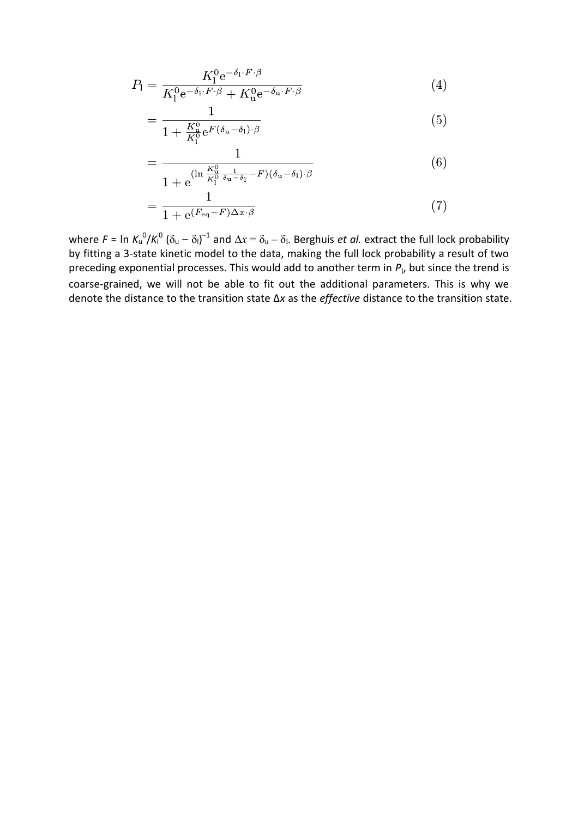$$
P_1 = \frac{K_1^0 e^{-\delta_1 \cdot F \cdot \beta}}{K_1^0 e^{-\delta_1 \cdot F \cdot \beta} + K_u^0 e^{-\delta_u \cdot F \cdot \beta}}
$$
(4)

$$
=\frac{1}{1+\frac{K_{\mathrm{u}}^{0}}{K_{\mathrm{l}}^{0}}\mathrm{e}^{F(\delta_{\mathrm{u}}-\delta_{\mathrm{l}})\cdot\beta}}
$$
(5)

$$
= \frac{1}{1 + e^{(\ln \frac{K_u^0}{K_l^0} \frac{1}{\delta_u - \delta_l} - F)(\delta_u - \delta_l) \cdot \beta}}
$$
(6)

$$
=\frac{1}{1 + e^{(F_{\text{eq}} - F)\Delta x \cdot \beta}}\tag{7}
$$

where  $F = \ln K_u^0 / K_l^0 (\delta_u - \delta_l)^{-1}$  and  $\Delta x = \delta_u - \delta_l$ . Berghuis *et al.* extract the full lock probability by fitting a 3-state kinetic model to the data, making the full lock probability a result of two preceding exponential processes. This would add to another term in  $P_{\rm l}$ , but since the trend is coarse-grained, we will not be able to fit out the additional parameters. This is why we denote the distance to the transition state ∆*x* as the *effective* distance to the transition state.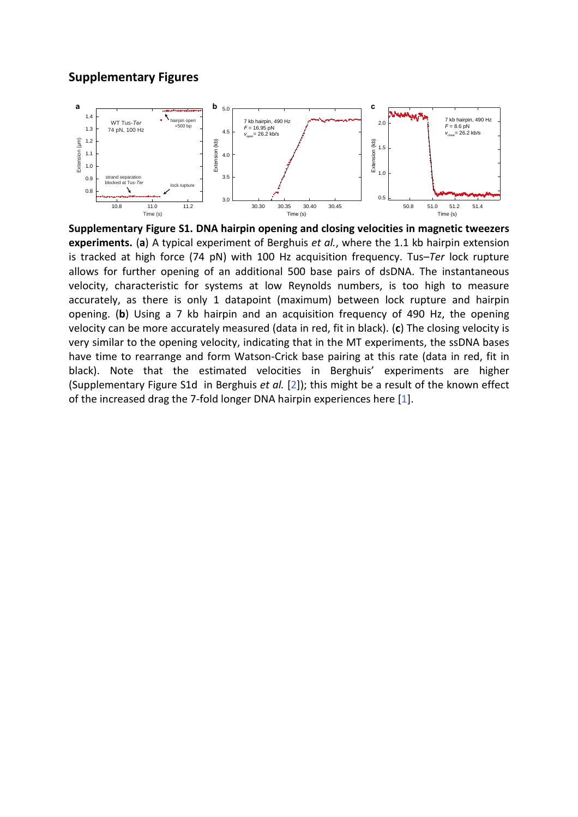### **Supplementary Figures**



**Supplementary Figure S1. DNA hairpin opening and closing velocities in magnetic tweezers experiments.** (**a**) A typical experiment of Berghuis *et al.*, where the 1.1 kb hairpin extension is tracked at high force (74 pN) with 100 Hz acquisition frequency. Tus–*Ter* lock rupture allows for further opening of an additional 500 base pairs of dsDNA. The instantaneous velocity, characteristic for systems at low Reynolds numbers, is too high to measure accurately, as there is only 1 datapoint (maximum) between lock rupture and hairpin opening. (**b**) Using a 7 kb hairpin and an acquisition frequency of 490 Hz, the opening velocity can be more accurately measured (data in red, fit in black). (**c**) The closing velocity is very similar to the opening velocity, indicating that in the MT experiments, the ssDNA bases have time to rearrange and form Watson-Crick base pairing at this rate (data in red, fit in black). Note that the estimated velocities in Berghuis' experiments are higher (Supplementary Figure S1d in Berghuis *et al.* [\[2\]](#page-7-6)); this might be a result of the known effect of the increased drag the 7-fold longer DNA hairpin experiences here [\[1\]](#page-7-0).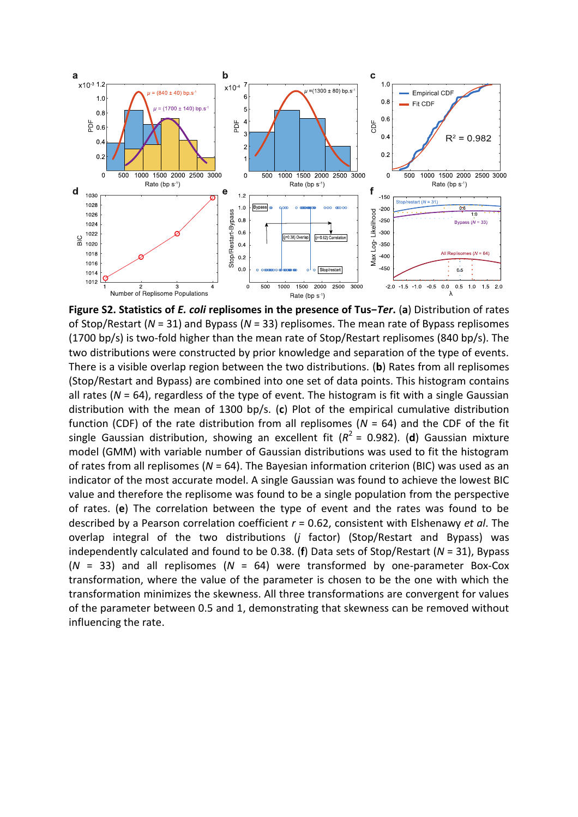

**Figure S2. Statistics of** *E. coli* **replisomes in the presence of Tus−***Ter***.** (**a**) Distribution of rates of Stop/Restart (*N* = 31) and Bypass (*N* = 33) replisomes. The mean rate of Bypass replisomes (1700 bp/s) is two-fold higher than the mean rate of Stop/Restart replisomes (840 bp/s). The two distributions were constructed by prior knowledge and separation of the type of events. There is a visible overlap region between the two distributions. (**b**) Rates from all replisomes (Stop/Restart and Bypass) are combined into one set of data points. This histogram contains all rates (*N* = 64), regardless of the type of event. The histogram is fit with a single Gaussian distribution with the mean of 1300 bp/s. (**c**) Plot of the empirical cumulative distribution function (CDF) of the rate distribution from all replisomes (*N* = 64) and the CDF of the fit single Gaussian distribution, showing an excellent fit ( $R^2$  = 0.982). (**d**) Gaussian mixture model (GMM) with variable number of Gaussian distributions was used to fit the histogram of rates from all replisomes (*N* = 64). The Bayesian information criterion (BIC) was used as an indicator of the most accurate model. A single Gaussian was found to achieve the lowest BIC value and therefore the replisome was found to be a single population from the perspective of rates. (**e**) The correlation between the type of event and the rates was found to be described by a Pearson correlation coefficient *r* = 0.62, consistent with Elshenawy *et al*. The overlap integral of the two distributions (*j* factor) (Stop/Restart and Bypass) was independently calculated and found to be 0.38. (**f**) Data sets of Stop/Restart (*N* = 31), Bypass (*N* = 33) and all replisomes (*N* = 64) were transformed by one-parameter Box-Cox transformation, where the value of the parameter is chosen to be the one with which the transformation minimizes the skewness. All three transformations are convergent for values of the parameter between 0.5 and 1, demonstrating that skewness can be removed without influencing the rate.